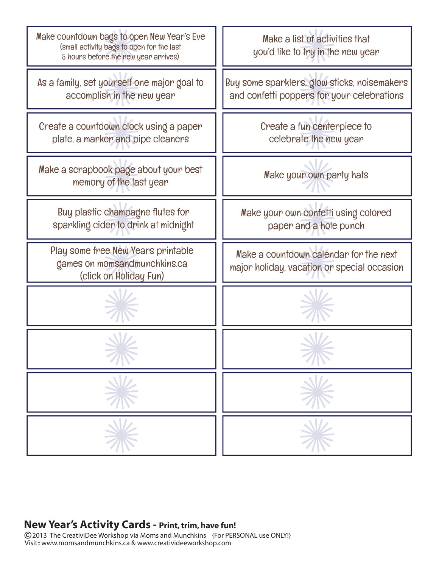

#### **New Year's Activity Cards - Print, trim, have fun!**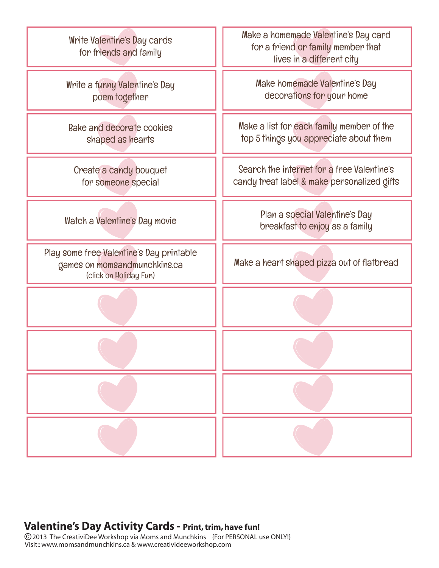![](_page_1_Figure_0.jpeg)

### **Valentine's Day Activity Cards - Print, trim, have fun!**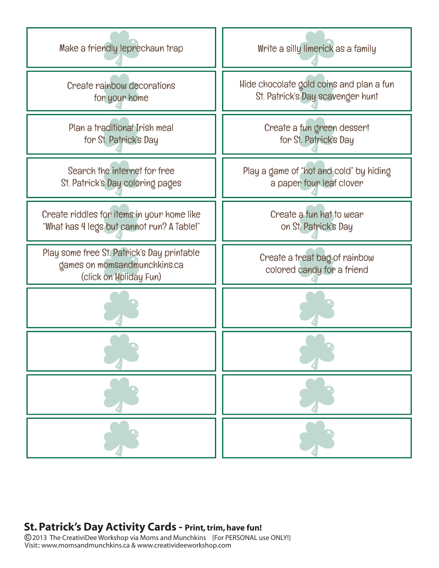![](_page_2_Figure_0.jpeg)

# **St. Patrick's Day Activity Cards - Print, trim, have fun!**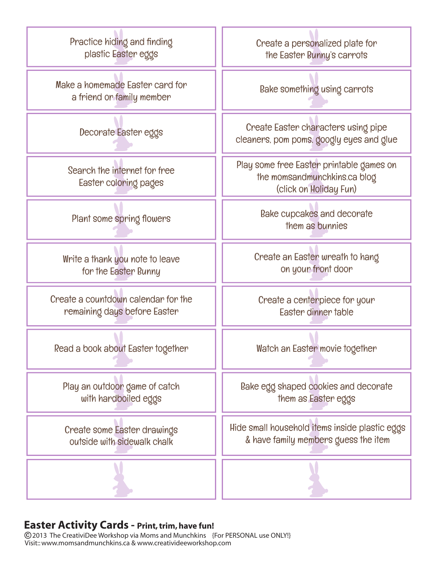![](_page_3_Figure_0.jpeg)

### **Easter Activity Cards - Print, trim, have fun!**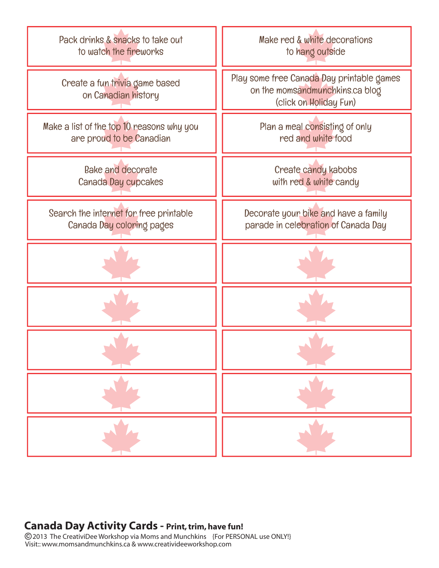![](_page_4_Figure_0.jpeg)

## **Canada Day Activity Cards - Print, trim, have fun!**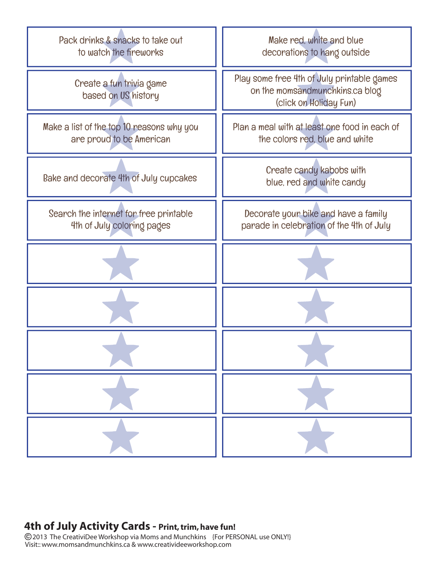![](_page_5_Figure_0.jpeg)

### **4th of July Activity Cards - Print, trim, have fun!**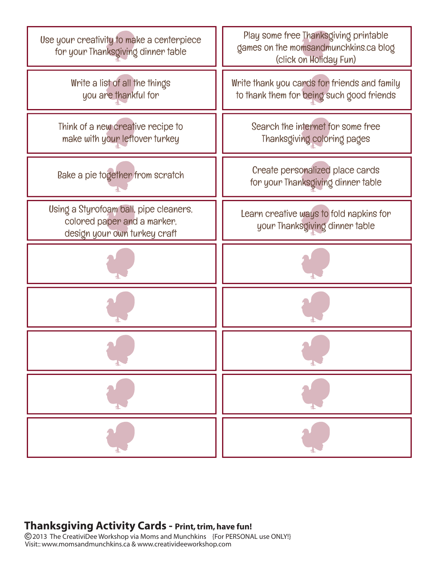![](_page_6_Figure_0.jpeg)

# **Thanksgiving Activity Cards - Print, trim, have fun!**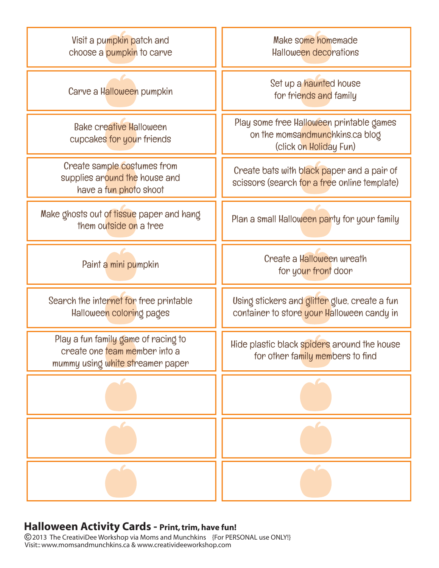![](_page_7_Figure_0.jpeg)

#### **Halloween Activity Cards - Print, trim, have fun!**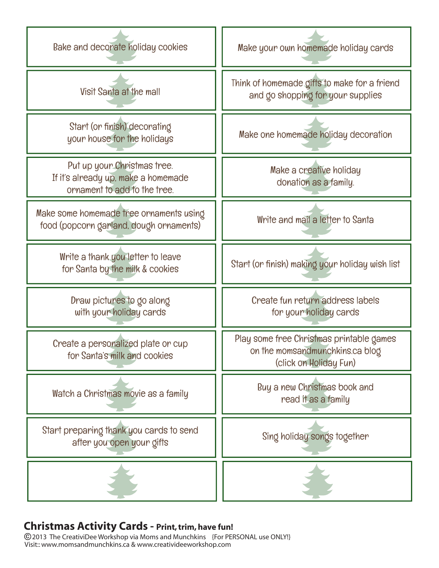![](_page_8_Figure_0.jpeg)

## **Christmas Activity Cards - Print, trim, have fun!**